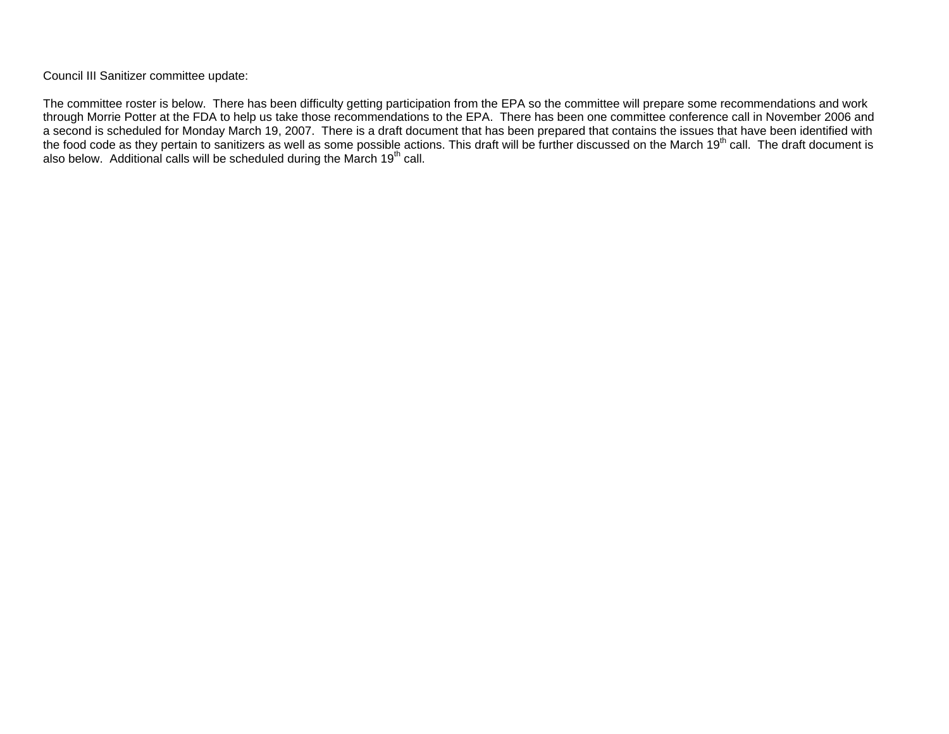Council III Sanitizer committee update:

The committee roster is below. There has been difficulty getting participation from the EPA so the committee will prepare some recommendations and work through Morrie Potter at the FDA to help us take those recommendations to the EPA. There has been one committee conference call in November 2006 and a second is scheduled for Monday March 19, 2007. There is a draft document that has been prepared that contains the issues that have been identified with the food code as they pertain to sanitizers as well as some possible actions. This draft will be further discussed on the March 19<sup>th</sup> call. The draft document is also below. Additional calls will be scheduled during the March 19<sup>th</sup> call.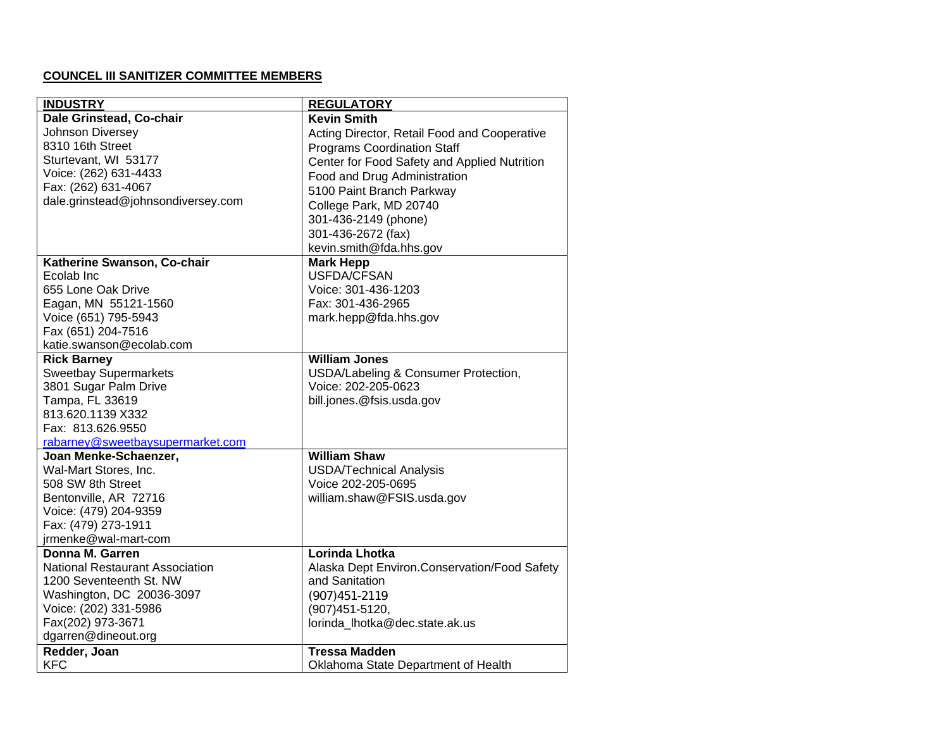## **COUNCEL III SANITIZER COMMITTEE MEMBERS**

| <b>INDUSTRY</b>                        | <b>REGULATORY</b>                            |
|----------------------------------------|----------------------------------------------|
| Dale Grinstead, Co-chair               | <b>Kevin Smith</b>                           |
| Johnson Diversey                       | Acting Director, Retail Food and Cooperative |
| 8310 16th Street                       | <b>Programs Coordination Staff</b>           |
| Sturtevant, WI 53177                   | Center for Food Safety and Applied Nutrition |
| Voice: (262) 631-4433                  | Food and Drug Administration                 |
| Fax: (262) 631-4067                    | 5100 Paint Branch Parkway                    |
| dale.grinstead@johnsondiversey.com     | College Park, MD 20740                       |
|                                        | 301-436-2149 (phone)                         |
|                                        | 301-436-2672 (fax)                           |
|                                        | kevin.smith@fda.hhs.gov                      |
| Katherine Swanson, Co-chair            | <b>Mark Hepp</b>                             |
| Ecolab Inc                             | <b>USFDA/CFSAN</b>                           |
| 655 Lone Oak Drive                     | Voice: 301-436-1203                          |
| Eagan, MN 55121-1560                   | Fax: 301-436-2965                            |
| Voice (651) 795-5943                   | mark.hepp@fda.hhs.gov                        |
| Fax (651) 204-7516                     |                                              |
| katie.swanson@ecolab.com               |                                              |
| <b>Rick Barney</b>                     | <b>William Jones</b>                         |
| <b>Sweetbay Supermarkets</b>           | USDA/Labeling & Consumer Protection,         |
| 3801 Sugar Palm Drive                  | Voice: 202-205-0623                          |
| Tampa, FL 33619                        | bill.jones.@fsis.usda.gov                    |
| 813.620.1139 X332                      |                                              |
| Fax: 813.626.9550                      |                                              |
| rabarney@sweetbaysupermarket.com       |                                              |
| Joan Menke-Schaenzer,                  | <b>William Shaw</b>                          |
| Wal-Mart Stores, Inc.                  | <b>USDA/Technical Analysis</b>               |
| 508 SW 8th Street                      | Voice 202-205-0695                           |
| Bentonville, AR 72716                  | william.shaw@FSIS.usda.gov                   |
| Voice: (479) 204-9359                  |                                              |
| Fax: (479) 273-1911                    |                                              |
| jrmenke@wal-mart-com                   |                                              |
| Donna M. Garren                        | Lorinda Lhotka                               |
| <b>National Restaurant Association</b> | Alaska Dept Environ.Conservation/Food Safety |
| 1200 Seventeenth St. NW                | and Sanitation                               |
| Washington, DC 20036-3097              | (907) 451-2119                               |
| Voice: (202) 331-5986                  | (907) 451-5120,                              |
| Fax(202) 973-3671                      | lorinda lhotka@dec.state.ak.us               |
| dgarren@dineout.org                    |                                              |
| Redder, Joan                           | <b>Tressa Madden</b>                         |
| <b>KFC</b>                             | Oklahoma State Department of Health          |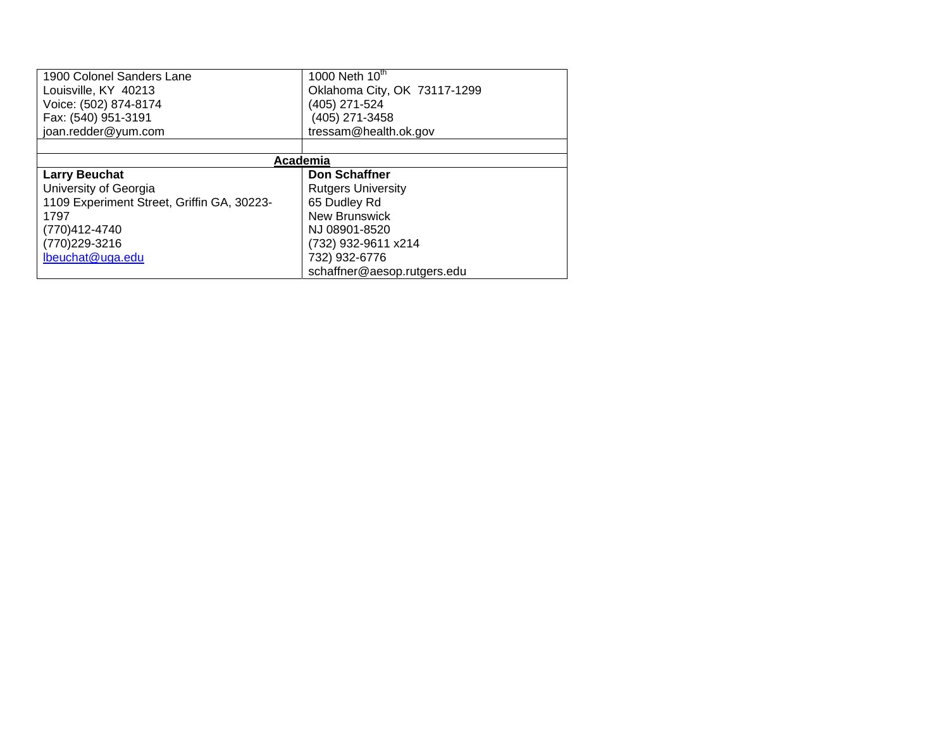| 1900 Colonel Sanders Lane                  | 1000 Neth 10th               |  |  |
|--------------------------------------------|------------------------------|--|--|
| Louisville, KY 40213                       | Oklahoma City, OK 73117-1299 |  |  |
| Voice: (502) 874-8174                      | (405) 271-524                |  |  |
| Fax: (540) 951-3191                        | (405) 271-3458               |  |  |
| joan.redder@yum.com                        | tressam@health.ok.gov        |  |  |
|                                            |                              |  |  |
| Academia                                   |                              |  |  |
| <b>Larry Beuchat</b>                       | Don Schaffner                |  |  |
| University of Georgia                      | <b>Rutgers University</b>    |  |  |
| 1109 Experiment Street, Griffin GA, 30223- | 65 Dudley Rd                 |  |  |
| 1797                                       | <b>New Brunswick</b>         |  |  |
| (770)412-4740                              | NJ 08901-8520                |  |  |
| (770) 229-3216                             | (732) 932-9611 x214          |  |  |
| lbeuchat@uga.edu                           | 732) 932-6776                |  |  |
|                                            | schaffner@aesop.rutgers.edu  |  |  |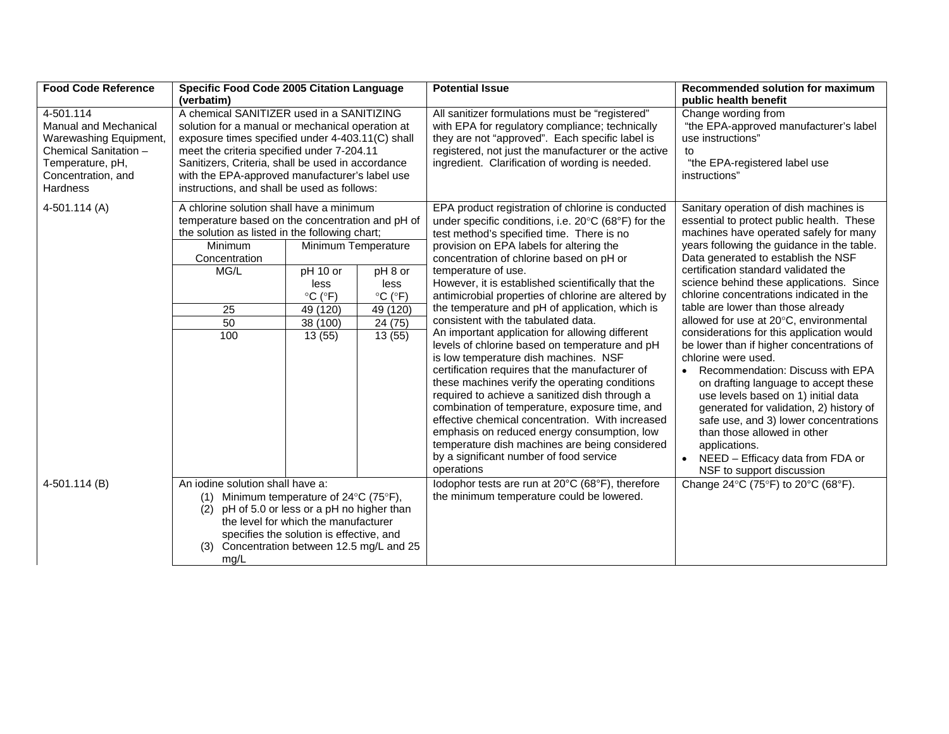| <b>Food Code Reference</b>                                                                                                                         | Specific Food Code 2005 Citation Language<br>(verbatim)                                                                                                                                                                                                                                                                                               |                                                                                                                              |                                                                                                  | <b>Potential Issue</b>                                                                                                                                                                                                                                                                                                                                                                                                                                                                                                                                                                                                                                                                                                                                                                                                                                                                                                                                                                                                             | Recommended solution for maximum<br>public health benefit                                                                                                                                                                                                                                                                                                                                                                                                                                                                                                                                                                                                                                                                                                                                                                                                                |
|----------------------------------------------------------------------------------------------------------------------------------------------------|-------------------------------------------------------------------------------------------------------------------------------------------------------------------------------------------------------------------------------------------------------------------------------------------------------------------------------------------------------|------------------------------------------------------------------------------------------------------------------------------|--------------------------------------------------------------------------------------------------|------------------------------------------------------------------------------------------------------------------------------------------------------------------------------------------------------------------------------------------------------------------------------------------------------------------------------------------------------------------------------------------------------------------------------------------------------------------------------------------------------------------------------------------------------------------------------------------------------------------------------------------------------------------------------------------------------------------------------------------------------------------------------------------------------------------------------------------------------------------------------------------------------------------------------------------------------------------------------------------------------------------------------------|--------------------------------------------------------------------------------------------------------------------------------------------------------------------------------------------------------------------------------------------------------------------------------------------------------------------------------------------------------------------------------------------------------------------------------------------------------------------------------------------------------------------------------------------------------------------------------------------------------------------------------------------------------------------------------------------------------------------------------------------------------------------------------------------------------------------------------------------------------------------------|
| 4-501.114<br><b>Manual and Mechanical</b><br>Warewashing Equipment,<br>Chemical Sanitation -<br>Temperature, pH,<br>Concentration, and<br>Hardness | A chemical SANITIZER used in a SANITIZING<br>solution for a manual or mechanical operation at<br>exposure times specified under 4-403.11(C) shall<br>meet the criteria specified under 7-204.11<br>Sanitizers, Criteria, shall be used in accordance<br>with the EPA-approved manufacturer's label use<br>instructions, and shall be used as follows: |                                                                                                                              |                                                                                                  | All sanitizer formulations must be "registered"<br>with EPA for regulatory compliance; technically<br>they are not "approved". Each specific label is<br>registered, not just the manufacturer or the active<br>ingredient. Clarification of wording is needed.                                                                                                                                                                                                                                                                                                                                                                                                                                                                                                                                                                                                                                                                                                                                                                    | Change wording from<br>"the EPA-approved manufacturer's label<br>use instructions"<br>to<br>"the EPA-registered label use<br>instructions"                                                                                                                                                                                                                                                                                                                                                                                                                                                                                                                                                                                                                                                                                                                               |
| 4-501.114 (A)                                                                                                                                      | A chlorine solution shall have a minimum<br>temperature based on the concentration and pH of<br>the solution as listed in the following chart;<br>Minimum<br>Concentration<br>MG/L<br>25<br>50<br>100                                                                                                                                                 | Minimum Temperature<br>pH 10 or<br>less<br>$\mathrm{^{\circ}C}$ ( $\mathrm{^{\circ}F}$ )<br>49 (120)<br>38 (100)<br>13(55)   | pH 8 or<br>less<br>$\mathrm{^{\circ}C}$ ( $\mathrm{^{\circ}F}$ )<br>49 (120)<br>24(75)<br>13(55) | EPA product registration of chlorine is conducted<br>under specific conditions, i.e. 20°C (68°F) for the<br>test method's specified time. There is no<br>provision on EPA labels for altering the<br>concentration of chlorine based on pH or<br>temperature of use.<br>However, it is established scientifically that the<br>antimicrobial properties of chlorine are altered by<br>the temperature and pH of application, which is<br>consistent with the tabulated data.<br>An important application for allowing different<br>levels of chlorine based on temperature and pH<br>is low temperature dish machines. NSF<br>certification requires that the manufacturer of<br>these machines verify the operating conditions<br>required to achieve a sanitized dish through a<br>combination of temperature, exposure time, and<br>effective chemical concentration. With increased<br>emphasis on reduced energy consumption, low<br>temperature dish machines are being considered<br>by a significant number of food service | Sanitary operation of dish machines is<br>essential to protect public health. These<br>machines have operated safely for many<br>years following the guidance in the table.<br>Data generated to establish the NSF<br>certification standard validated the<br>science behind these applications. Since<br>chlorine concentrations indicated in the<br>table are lower than those already<br>allowed for use at 20°C, environmental<br>considerations for this application would<br>be lower than if higher concentrations of<br>chlorine were used.<br>Recommendation: Discuss with EPA<br>$\bullet$<br>on drafting language to accept these<br>use levels based on 1) initial data<br>generated for validation, 2) history of<br>safe use, and 3) lower concentrations<br>than those allowed in other<br>applications.<br>NEED - Efficacy data from FDA or<br>$\bullet$ |
| 4-501.114 (B)                                                                                                                                      | An iodine solution shall have a:<br>(1) Minimum temperature of $24^{\circ}$ C (75°F),<br>(2)<br>(3) Concentration between 12.5 mg/L and 25<br>mg/L                                                                                                                                                                                                    | pH of 5.0 or less or a pH no higher than<br>the level for which the manufacturer<br>specifies the solution is effective, and |                                                                                                  | operations<br>lodophor tests are run at 20°C (68°F), therefore<br>the minimum temperature could be lowered.                                                                                                                                                                                                                                                                                                                                                                                                                                                                                                                                                                                                                                                                                                                                                                                                                                                                                                                        | NSF to support discussion<br>Change 24°C (75°F) to 20°C (68°F).                                                                                                                                                                                                                                                                                                                                                                                                                                                                                                                                                                                                                                                                                                                                                                                                          |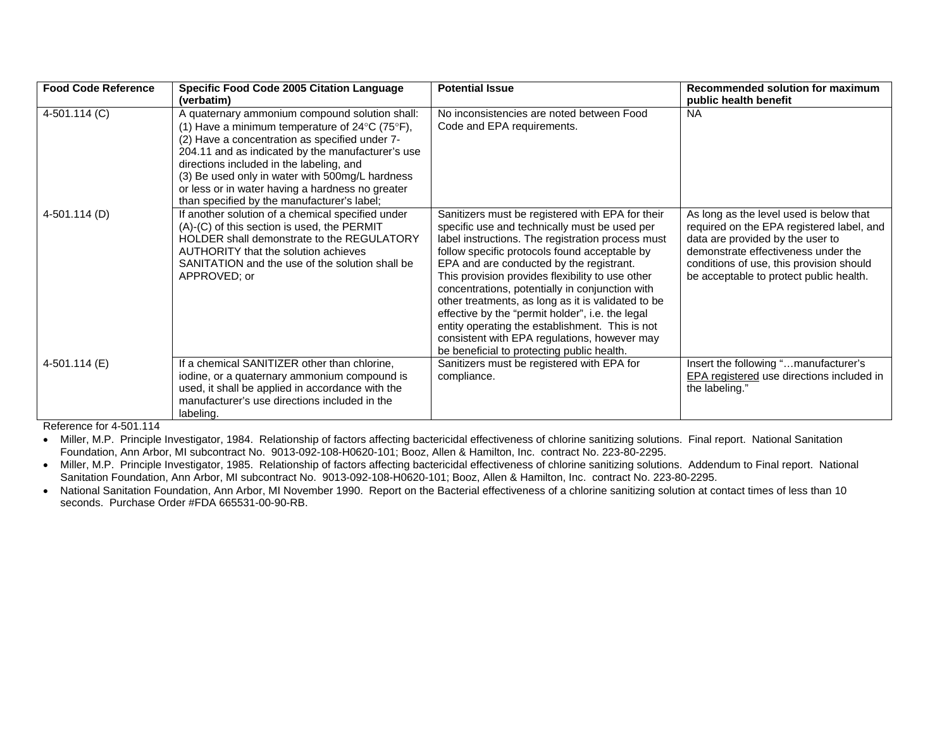| <b>Food Code Reference</b> | Specific Food Code 2005 Citation Language<br>(verbatim)                                                                                                                                                                                                                                                                                                                                                                                          | <b>Potential Issue</b>                                                                                                                                                                                                                                                                                                                                                                                                                                                                                                                                                                                                | Recommended solution for maximum<br>public health benefit                                                                                                                                                                                              |
|----------------------------|--------------------------------------------------------------------------------------------------------------------------------------------------------------------------------------------------------------------------------------------------------------------------------------------------------------------------------------------------------------------------------------------------------------------------------------------------|-----------------------------------------------------------------------------------------------------------------------------------------------------------------------------------------------------------------------------------------------------------------------------------------------------------------------------------------------------------------------------------------------------------------------------------------------------------------------------------------------------------------------------------------------------------------------------------------------------------------------|--------------------------------------------------------------------------------------------------------------------------------------------------------------------------------------------------------------------------------------------------------|
| 4-501.114 (C)              | A quaternary ammonium compound solution shall:<br>(1) Have a minimum temperature of 24 $\mathrm{^{\circ}C}$ (75 $\mathrm{^{\circ}F}$ ),<br>(2) Have a concentration as specified under 7-<br>204.11 and as indicated by the manufacturer's use<br>directions included in the labeling, and<br>(3) Be used only in water with 500mg/L hardness<br>or less or in water having a hardness no greater<br>than specified by the manufacturer's label; | No inconsistencies are noted between Food<br>Code and EPA requirements.                                                                                                                                                                                                                                                                                                                                                                                                                                                                                                                                               | <b>NA</b>                                                                                                                                                                                                                                              |
| 4-501.114 (D)              | If another solution of a chemical specified under<br>(A)-(C) of this section is used, the PERMIT<br>HOLDER shall demonstrate to the REGULATORY<br>AUTHORITY that the solution achieves<br>SANITATION and the use of the solution shall be<br>APPROVED; or                                                                                                                                                                                        | Sanitizers must be registered with EPA for their<br>specific use and technically must be used per<br>label instructions. The registration process must<br>follow specific protocols found acceptable by<br>EPA and are conducted by the registrant.<br>This provision provides flexibility to use other<br>concentrations, potentially in conjunction with<br>other treatments, as long as it is validated to be<br>effective by the "permit holder", i.e. the legal<br>entity operating the establishment. This is not<br>consistent with EPA regulations, however may<br>be beneficial to protecting public health. | As long as the level used is below that<br>required on the EPA registered label, and<br>data are provided by the user to<br>demonstrate effectiveness under the<br>conditions of use, this provision should<br>be acceptable to protect public health. |
| 4-501.114 (E)              | If a chemical SANITIZER other than chlorine,<br>iodine, or a quaternary ammonium compound is<br>used, it shall be applied in accordance with the<br>manufacturer's use directions included in the<br>labeling.                                                                                                                                                                                                                                   | Sanitizers must be registered with EPA for<br>compliance.                                                                                                                                                                                                                                                                                                                                                                                                                                                                                                                                                             | Insert the following "manufacturer's<br>EPA registered use directions included in<br>the labeling."                                                                                                                                                    |

Reference for 4-501.114

 • Miller, M.P. Principle Investigator, 1984. Relationship of factors affecting bactericidal effectiveness of chlorine sanitizing solutions. Final report. National Sanitation Foundation, Ann Arbor, MI subcontract No. 9013-092-108-H0620-101; Booz, Allen & Hamilton, Inc. contract No. 223-80-2295.

• Miller, M.P. Principle Investigator, 1985. Relationship of factors affecting bactericidal effectiveness of chlorine sanitizing solutions. Addendum to Final report. National Sanitation Foundation, Ann Arbor, MI subcontract No. 9013-092-108-H0620-101; Booz, Allen & Hamilton, Inc. contract No. 223-80-2295.

• National Sanitation Foundation, Ann Arbor, MI November 1990. Report on the Bacterial effectiveness of a chlorine sanitizing solution at contact times of less than 10 seconds. Purchase Order #FDA 665531-00-90-RB.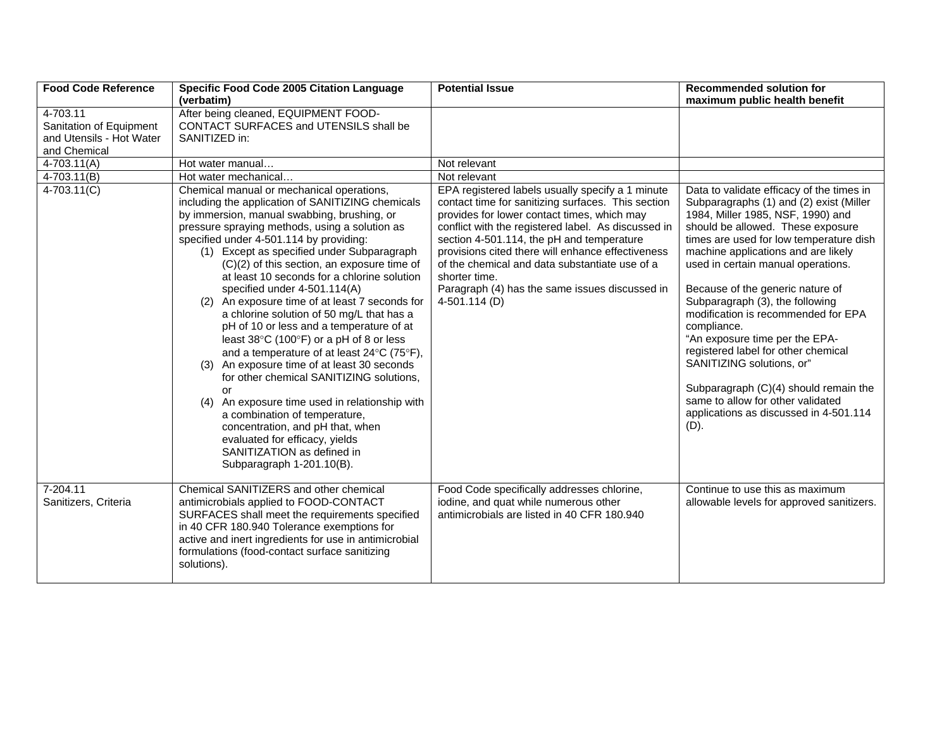| <b>Food Code Reference</b>                                                      | Specific Food Code 2005 Citation Language<br>(verbatim)                                                                                                                                                                                                                                                                                                                                                                                                                                                                                                                                                                                                                                                                                                                                                                                                                                                                                                                           | <b>Potential Issue</b>                                                                                                                                                                                                                                                                                                                                                                                                                               | <b>Recommended solution for</b><br>maximum public health benefit                                                                                                                                                                                                                                                                                                                                                                                                                                                                                                                                                                                             |
|---------------------------------------------------------------------------------|-----------------------------------------------------------------------------------------------------------------------------------------------------------------------------------------------------------------------------------------------------------------------------------------------------------------------------------------------------------------------------------------------------------------------------------------------------------------------------------------------------------------------------------------------------------------------------------------------------------------------------------------------------------------------------------------------------------------------------------------------------------------------------------------------------------------------------------------------------------------------------------------------------------------------------------------------------------------------------------|------------------------------------------------------------------------------------------------------------------------------------------------------------------------------------------------------------------------------------------------------------------------------------------------------------------------------------------------------------------------------------------------------------------------------------------------------|--------------------------------------------------------------------------------------------------------------------------------------------------------------------------------------------------------------------------------------------------------------------------------------------------------------------------------------------------------------------------------------------------------------------------------------------------------------------------------------------------------------------------------------------------------------------------------------------------------------------------------------------------------------|
| 4-703.11<br>Sanitation of Equipment<br>and Utensils - Hot Water<br>and Chemical | After being cleaned, EQUIPMENT FOOD-<br>CONTACT SURFACES and UTENSILS shall be<br>SANITIZED in:                                                                                                                                                                                                                                                                                                                                                                                                                                                                                                                                                                                                                                                                                                                                                                                                                                                                                   |                                                                                                                                                                                                                                                                                                                                                                                                                                                      |                                                                                                                                                                                                                                                                                                                                                                                                                                                                                                                                                                                                                                                              |
| $4-703.11(A)$                                                                   | Hot water manual                                                                                                                                                                                                                                                                                                                                                                                                                                                                                                                                                                                                                                                                                                                                                                                                                                                                                                                                                                  | Not relevant                                                                                                                                                                                                                                                                                                                                                                                                                                         |                                                                                                                                                                                                                                                                                                                                                                                                                                                                                                                                                                                                                                                              |
| $4-703.11(B)$                                                                   | Hot water mechanical                                                                                                                                                                                                                                                                                                                                                                                                                                                                                                                                                                                                                                                                                                                                                                                                                                                                                                                                                              | Not relevant                                                                                                                                                                                                                                                                                                                                                                                                                                         |                                                                                                                                                                                                                                                                                                                                                                                                                                                                                                                                                                                                                                                              |
| $4-703.11(C)$                                                                   | Chemical manual or mechanical operations,<br>including the application of SANITIZING chemicals<br>by immersion, manual swabbing, brushing, or<br>pressure spraying methods, using a solution as<br>specified under 4-501.114 by providing:<br>(1) Except as specified under Subparagraph<br>$(C)(2)$ of this section, an exposure time of<br>at least 10 seconds for a chlorine solution<br>specified under 4-501.114(A)<br>(2) An exposure time of at least 7 seconds for<br>a chlorine solution of 50 mg/L that has a<br>pH of 10 or less and a temperature of at<br>least 38°C (100°F) or a pH of 8 or less<br>and a temperature of at least 24°C (75°F),<br>(3) An exposure time of at least 30 seconds<br>for other chemical SANITIZING solutions,<br>or<br>(4) An exposure time used in relationship with<br>a combination of temperature,<br>concentration, and pH that, when<br>evaluated for efficacy, yields<br>SANITIZATION as defined in<br>Subparagraph 1-201.10(B). | EPA registered labels usually specify a 1 minute<br>contact time for sanitizing surfaces. This section<br>provides for lower contact times, which may<br>conflict with the registered label. As discussed in<br>section 4-501.114, the pH and temperature<br>provisions cited there will enhance effectiveness<br>of the chemical and data substantiate use of a<br>shorter time.<br>Paragraph (4) has the same issues discussed in<br>4-501.114 (D) | Data to validate efficacy of the times in<br>Subparagraphs (1) and (2) exist (Miller<br>1984, Miller 1985, NSF, 1990) and<br>should be allowed. These exposure<br>times are used for low temperature dish<br>machine applications and are likely<br>used in certain manual operations.<br>Because of the generic nature of<br>Subparagraph (3), the following<br>modification is recommended for EPA<br>compliance.<br>"An exposure time per the EPA-<br>registered label for other chemical<br>SANITIZING solutions, or"<br>Subparagraph (C)(4) should remain the<br>same to allow for other validated<br>applications as discussed in 4-501.114<br>$(D)$ . |
| 7-204.11<br>Sanitizers, Criteria                                                | Chemical SANITIZERS and other chemical<br>antimicrobials applied to FOOD-CONTACT<br>SURFACES shall meet the requirements specified<br>in 40 CFR 180.940 Tolerance exemptions for<br>active and inert ingredients for use in antimicrobial<br>formulations (food-contact surface sanitizing<br>solutions).                                                                                                                                                                                                                                                                                                                                                                                                                                                                                                                                                                                                                                                                         | Food Code specifically addresses chlorine,<br>iodine, and quat while numerous other<br>antimicrobials are listed in 40 CFR 180.940                                                                                                                                                                                                                                                                                                                   | Continue to use this as maximum<br>allowable levels for approved sanitizers.                                                                                                                                                                                                                                                                                                                                                                                                                                                                                                                                                                                 |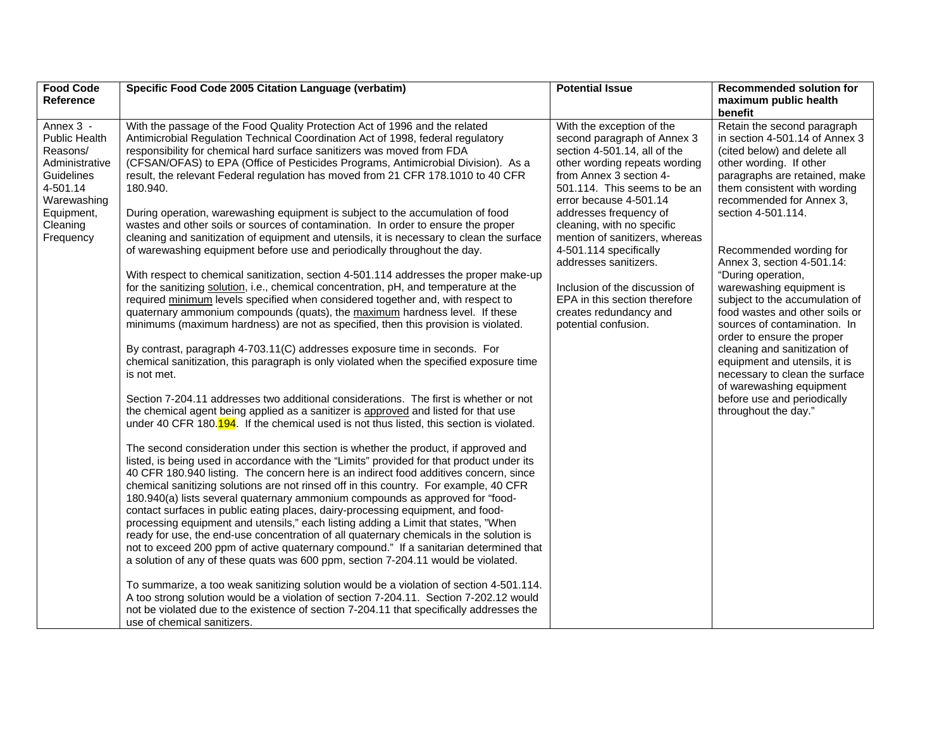| <b>Food Code</b><br>Reference                                                                                                                          | Specific Food Code 2005 Citation Language (verbatim)                                                                                                                                                                                                                                                                                                                                                                                                                                                                                                                                                                                                                                                                                                                                                                                                                                                                                                                                                                                                                                                                                                                                                                                                                                                                                                                                                                                                                                                                                                                                                                                                                                                                                                                                                                                                                                                                                                                                                                                                                                                                                                                                                                                                                                                                                                                                                                                                                                                                                                                                                                                                                                                                                                                                                                                                                                                                 | <b>Potential Issue</b>                                                                                                                                                                                                                                                                                                                                                                                                                                                           | <b>Recommended solution for</b><br>maximum public health                                                                                                                                                                                                                                                                                                                                                                                                                                                                                                                                                                                                                                  |
|--------------------------------------------------------------------------------------------------------------------------------------------------------|----------------------------------------------------------------------------------------------------------------------------------------------------------------------------------------------------------------------------------------------------------------------------------------------------------------------------------------------------------------------------------------------------------------------------------------------------------------------------------------------------------------------------------------------------------------------------------------------------------------------------------------------------------------------------------------------------------------------------------------------------------------------------------------------------------------------------------------------------------------------------------------------------------------------------------------------------------------------------------------------------------------------------------------------------------------------------------------------------------------------------------------------------------------------------------------------------------------------------------------------------------------------------------------------------------------------------------------------------------------------------------------------------------------------------------------------------------------------------------------------------------------------------------------------------------------------------------------------------------------------------------------------------------------------------------------------------------------------------------------------------------------------------------------------------------------------------------------------------------------------------------------------------------------------------------------------------------------------------------------------------------------------------------------------------------------------------------------------------------------------------------------------------------------------------------------------------------------------------------------------------------------------------------------------------------------------------------------------------------------------------------------------------------------------------------------------------------------------------------------------------------------------------------------------------------------------------------------------------------------------------------------------------------------------------------------------------------------------------------------------------------------------------------------------------------------------------------------------------------------------------------------------------------------------|----------------------------------------------------------------------------------------------------------------------------------------------------------------------------------------------------------------------------------------------------------------------------------------------------------------------------------------------------------------------------------------------------------------------------------------------------------------------------------|-------------------------------------------------------------------------------------------------------------------------------------------------------------------------------------------------------------------------------------------------------------------------------------------------------------------------------------------------------------------------------------------------------------------------------------------------------------------------------------------------------------------------------------------------------------------------------------------------------------------------------------------------------------------------------------------|
| Annex 3 -<br><b>Public Health</b><br>Reasons/<br>Administrative<br><b>Guidelines</b><br>4-501.14<br>Warewashing<br>Equipment,<br>Cleaning<br>Frequency | With the passage of the Food Quality Protection Act of 1996 and the related<br>Antimicrobial Regulation Technical Coordination Act of 1998, federal regulatory<br>responsibility for chemical hard surface sanitizers was moved from FDA<br>(CFSAN/OFAS) to EPA (Office of Pesticides Programs, Antimicrobial Division). As a<br>result, the relevant Federal regulation has moved from 21 CFR 178.1010 to 40 CFR<br>180.940.<br>During operation, warewashing equipment is subject to the accumulation of food<br>wastes and other soils or sources of contamination. In order to ensure the proper<br>cleaning and sanitization of equipment and utensils, it is necessary to clean the surface<br>of warewashing equipment before use and periodically throughout the day.<br>With respect to chemical sanitization, section 4-501.114 addresses the proper make-up<br>for the sanitizing solution, i.e., chemical concentration, pH, and temperature at the<br>required minimum levels specified when considered together and, with respect to<br>quaternary ammonium compounds (quats), the maximum hardness level. If these<br>minimums (maximum hardness) are not as specified, then this provision is violated.<br>By contrast, paragraph 4-703.11(C) addresses exposure time in seconds. For<br>chemical sanitization, this paragraph is only violated when the specified exposure time<br>is not met.<br>Section 7-204.11 addresses two additional considerations. The first is whether or not<br>the chemical agent being applied as a sanitizer is approved and listed for that use<br>under 40 CFR 180.194. If the chemical used is not thus listed, this section is violated.<br>The second consideration under this section is whether the product, if approved and<br>listed, is being used in accordance with the "Limits" provided for that product under its<br>40 CFR 180.940 listing. The concern here is an indirect food additives concern, since<br>chemical sanitizing solutions are not rinsed off in this country. For example, 40 CFR<br>180.940(a) lists several quaternary ammonium compounds as approved for "food-<br>contact surfaces in public eating places, dairy-processing equipment, and food-<br>processing equipment and utensils," each listing adding a Limit that states, "When<br>ready for use, the end-use concentration of all quaternary chemicals in the solution is<br>not to exceed 200 ppm of active quaternary compound." If a sanitarian determined that<br>a solution of any of these quats was 600 ppm, section 7-204.11 would be violated.<br>To summarize, a too weak sanitizing solution would be a violation of section 4-501.114.<br>A too strong solution would be a violation of section 7-204.11. Section 7-202.12 would<br>not be violated due to the existence of section 7-204.11 that specifically addresses the<br>use of chemical sanitizers. | With the exception of the<br>second paragraph of Annex 3<br>section 4-501.14, all of the<br>other wording repeats wording<br>from Annex 3 section 4-<br>501.114. This seems to be an<br>error because 4-501.14<br>addresses frequency of<br>cleaning, with no specific<br>mention of sanitizers, whereas<br>4-501.114 specifically<br>addresses sanitizers.<br>Inclusion of the discussion of<br>EPA in this section therefore<br>creates redundancy and<br>potential confusion. | benefit<br>Retain the second paragraph<br>in section 4-501.14 of Annex 3<br>(cited below) and delete all<br>other wording. If other<br>paragraphs are retained, make<br>them consistent with wording<br>recommended for Annex 3,<br>section 4-501.114.<br>Recommended wording for<br>Annex 3, section 4-501.14:<br>"During operation,<br>warewashing equipment is<br>subject to the accumulation of<br>food wastes and other soils or<br>sources of contamination. In<br>order to ensure the proper<br>cleaning and sanitization of<br>equipment and utensils, it is<br>necessary to clean the surface<br>of warewashing equipment<br>before use and periodically<br>throughout the day." |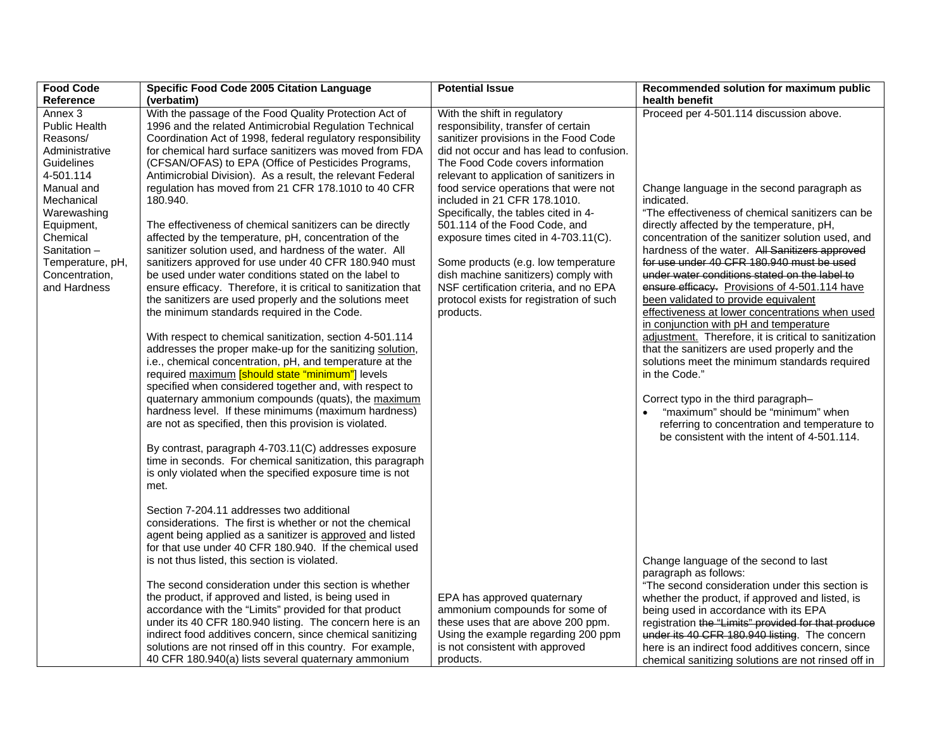| <b>Food Code</b>                   | Specific Food Code 2005 Citation Language                                                                      | <b>Potential Issue</b>                                                      | Recommended solution for maximum public                                                     |
|------------------------------------|----------------------------------------------------------------------------------------------------------------|-----------------------------------------------------------------------------|---------------------------------------------------------------------------------------------|
| <b>Reference</b>                   | (verbatim)                                                                                                     |                                                                             | health benefit                                                                              |
| Annex 3                            | With the passage of the Food Quality Protection Act of                                                         | With the shift in regulatory                                                | Proceed per 4-501.114 discussion above.                                                     |
| Public Health                      | 1996 and the related Antimicrobial Regulation Technical                                                        | responsibility, transfer of certain                                         |                                                                                             |
| Reasons/                           | Coordination Act of 1998, federal regulatory responsibility                                                    | sanitizer provisions in the Food Code                                       |                                                                                             |
| Administrative                     | for chemical hard surface sanitizers was moved from FDA                                                        | did not occur and has lead to confusion.                                    |                                                                                             |
| <b>Guidelines</b>                  | (CFSAN/OFAS) to EPA (Office of Pesticides Programs,                                                            | The Food Code covers information                                            |                                                                                             |
| 4-501.114                          | Antimicrobial Division). As a result, the relevant Federal                                                     | relevant to application of sanitizers in                                    |                                                                                             |
| Manual and                         | regulation has moved from 21 CFR 178.1010 to 40 CFR                                                            | food service operations that were not                                       | Change language in the second paragraph as                                                  |
| Mechanical                         | 180.940.                                                                                                       | included in 21 CFR 178.1010.                                                | indicated.                                                                                  |
| Warewashing                        |                                                                                                                | Specifically, the tables cited in 4-                                        | "The effectiveness of chemical sanitizers can be                                            |
| Equipment,                         | The effectiveness of chemical sanitizers can be directly                                                       | 501.114 of the Food Code, and                                               | directly affected by the temperature, pH,                                                   |
| Chemical                           | affected by the temperature, pH, concentration of the                                                          | exposure times cited in 4-703.11(C).                                        | concentration of the sanitizer solution used, and                                           |
| Sanitation -                       | sanitizer solution used, and hardness of the water. All                                                        |                                                                             | hardness of the water. All Sanitizers approved<br>for use under 40 CFR 180.940 must be used |
| Temperature, pH,<br>Concentration, | sanitizers approved for use under 40 CFR 180.940 must<br>be used under water conditions stated on the label to | Some products (e.g. low temperature<br>dish machine sanitizers) comply with | under water conditions stated on the label to                                               |
| and Hardness                       | ensure efficacy. Therefore, it is critical to sanitization that                                                | NSF certification criteria, and no EPA                                      | ensure efficacy. Provisions of 4-501.114 have                                               |
|                                    | the sanitizers are used properly and the solutions meet                                                        | protocol exists for registration of such                                    | been validated to provide equivalent                                                        |
|                                    | the minimum standards required in the Code.                                                                    | products.                                                                   | effectiveness at lower concentrations when used                                             |
|                                    |                                                                                                                |                                                                             | in conjunction with pH and temperature                                                      |
|                                    | With respect to chemical sanitization, section 4-501.114                                                       |                                                                             | adjustment. Therefore, it is critical to sanitization                                       |
|                                    | addresses the proper make-up for the sanitizing solution,                                                      |                                                                             | that the sanitizers are used properly and the                                               |
|                                    | i.e., chemical concentration, pH, and temperature at the                                                       |                                                                             | solutions meet the minimum standards required                                               |
|                                    | required maximum [should state "minimum"] levels                                                               |                                                                             | in the Code."                                                                               |
|                                    | specified when considered together and, with respect to                                                        |                                                                             |                                                                                             |
|                                    | quaternary ammonium compounds (quats), the maximum                                                             |                                                                             | Correct typo in the third paragraph-                                                        |
|                                    | hardness level. If these minimums (maximum hardness)                                                           |                                                                             | "maximum" should be "minimum" when                                                          |
|                                    | are not as specified, then this provision is violated.                                                         |                                                                             | referring to concentration and temperature to                                               |
|                                    |                                                                                                                |                                                                             | be consistent with the intent of 4-501.114.                                                 |
|                                    | By contrast, paragraph 4-703.11(C) addresses exposure                                                          |                                                                             |                                                                                             |
|                                    | time in seconds. For chemical sanitization, this paragraph                                                     |                                                                             |                                                                                             |
|                                    | is only violated when the specified exposure time is not                                                       |                                                                             |                                                                                             |
|                                    | met.                                                                                                           |                                                                             |                                                                                             |
|                                    |                                                                                                                |                                                                             |                                                                                             |
|                                    | Section 7-204.11 addresses two additional                                                                      |                                                                             |                                                                                             |
|                                    | considerations. The first is whether or not the chemical                                                       |                                                                             |                                                                                             |
|                                    | agent being applied as a sanitizer is approved and listed                                                      |                                                                             |                                                                                             |
|                                    | for that use under 40 CFR 180.940. If the chemical used                                                        |                                                                             |                                                                                             |
|                                    | is not thus listed, this section is violated.                                                                  |                                                                             | Change language of the second to last<br>paragraph as follows:                              |
|                                    | The second consideration under this section is whether                                                         |                                                                             | "The second consideration under this section is                                             |
|                                    | the product, if approved and listed, is being used in                                                          | EPA has approved quaternary                                                 | whether the product, if approved and listed, is                                             |
|                                    | accordance with the "Limits" provided for that product                                                         | ammonium compounds for some of                                              | being used in accordance with its EPA                                                       |
|                                    | under its 40 CFR 180.940 listing. The concern here is an                                                       | these uses that are above 200 ppm.                                          | registration the "Limits" provided for that produce                                         |
|                                    | indirect food additives concern, since chemical sanitizing                                                     | Using the example regarding 200 ppm                                         | under its 40 CFR 180.940 listing. The concern                                               |
|                                    | solutions are not rinsed off in this country. For example,                                                     | is not consistent with approved                                             | here is an indirect food additives concern, since                                           |
|                                    | 40 CFR 180.940(a) lists several quaternary ammonium                                                            | products.                                                                   | chemical sanitizing solutions are not rinsed off in                                         |